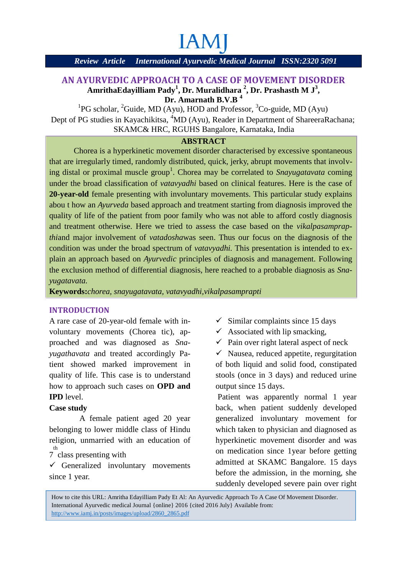# **IAM**

#### *Review Article International Ayurvedic Medical Journal ISSN:2320 5091*

#### **AN AYURVEDIC APPROACH TO A CASE OF MOVEMENT DISORDER TO A**  $\mathbf{A}\mathbf{m}\mathbf{r}$ ithaEdayilliam Pady<sup>1</sup>, Dr. Muralidhara <sup>2</sup>, Dr. Prashasth M J $^3,$ **Dr. Amarnath B.V.B <sup>4</sup>**

<sup>1</sup>PG scholar, <sup>2</sup>Guide, MD (Ayu), HOD and Professor, <sup>3</sup>Co-guide, MD (Ayu) Dept of PG studies in Kayachikitsa, <sup>4</sup>MD (Ayu), Reader in Department of ShareeraRachana; SKAMC& HRC, RGUHS Bangalore, Karnataka, India

#### **ABSTRACT**

Chorea is a hyperkinetic movement disorder characterised by excessive spontaneous that are irregularly timed, randomly distributed, quick, jerky, abrupt movements that involving distal or proximal muscle group<sup>1</sup>. Chorea may be correlated to *Snayugatavata* coming under the broad classification of *vatavyadhi* based on clinical features. Here is the case of **20-year-old** female presenting with involuntary movements. This particular study explains abou t how an *Ayurveda* based approach and treatment starting from diagnosis improved the quality of life of the patient from poor family who was not able to afford costly diagnosis and treatment otherwise. Here we tried to assess the case based on the *vikalpasamprapthi*and major involvement of *vatadosha*was seen. Thus our focus on the diagnosis of the condition was under the broad spectrum of *vatavyadhi.* This presentation is intended to explain an approach based on *Ayurvedic* principles of diagnosis and management. Following the exclusion method of differential diagnosis, here reached to a probable diagnosis as *Snayugatavata.* G scholar, "Guide, MD (Ayu), HOD and Professor, "Co-guide, MD (Ayu)<br>
5 studies in Kayachikitsa, "MD (Ayu), Reader in Department of ShareeraRachana;<br>
SKAMC& HRC, RGUHS Bangalore, Karnataka, India<br> **ABSTRACT**<br> **ABSTRACT**<br> *Review Article International Ayarredic Medical Journal ISSN:23205091*<br>
NAYVEDIC APPROACH TO A CASE OF MOVEMENT DISORDER<br>
MITHAMENG MINIMPORTIES (PAPACHE TO ACTE OF MOVEMENT DISORDER<br>
<sup>1</sup>PC scholar, "Guide MD (Ayu), HOD c The broad classification of *vataryadhi* based on clinical features. Here is the case<br> **combov** an *Ayatrveda* based approach and treatment starting from diagnosis improvement<br>
col frific of the patient from poor family w

**Keywords:***chorea, snayugatavata, vatavyadhi,vikalpasamprapti*

#### **INTRODUCTION**

A rare case of 20-year-old female with involuntary movements (Chorea tic), approached and was diagnosed as *Snayugathavata* and treated accordingly Patient showed marked improvement in quality of life. This case is to understand how to approach such cases on **OPD and IPD** level. wed marked improvement in<br>life. This case is to understand<br>proach such cases on **OPD and**<br><br><br><br>female patient aged 20 year<br>to lower middle class of Hindu<br>nmarried with an education of

#### **Case study**

A female patient aged 20 year belonging to lower middle class of Hindu religion, unmarried with an education of <sup>th</sup> class presenting with

 $\checkmark$  Generalized involuntary movements since 1 year. since 1 year.

- $\checkmark$  Similar complaints since 15 days
- $\checkmark$  Associated with lip smacking,
- $\checkmark$  Pain over right lateral aspect of neck

 $\checkmark$  Nausea, reduced appetite, regurgitation of both liquid and solid food, constipated stools (once in 3 days) and reduced urine output since 15 days. ght lateral aspect of neck<br>uced appetite, regurgitati<br>and solid food, constipa<br>3 days) and reduced uri<br>days.

Patient was apparently normal 1 year back, when patient suddenly developed generalized involuntary movement for which taken to physician and diagnosed as hyperkinetic movement disorder and was on medication since 1year before getting admitted at SKAMC Bangalore. 15 days before the admission, in the morning, she suddenly developed severe pain over right

How to cite this URL: Amritha Edayilliam Pady Et Al: An Ayurvedic Approach To A Case Of Movement Disorder. International Ayurvedic medical Journal {online} 2016 {cited 2016 July} Available from: http://www.iamj.in/posts/images/upload/2860\_2865.pdf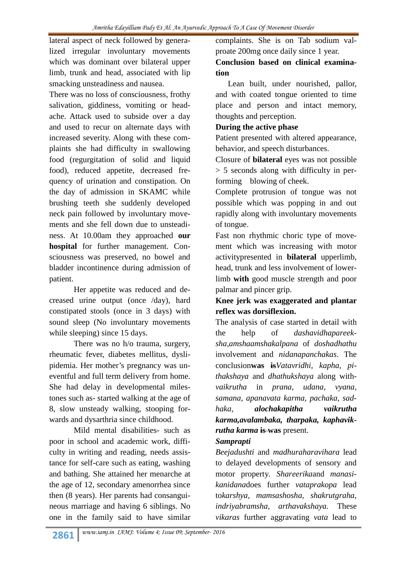lateral aspect of neck followed by generalized irregular involuntary movements which was dominant over bilateral upper limb, trunk and head, associated with lip smacking unsteadiness and nausea.

There was no loss of consciousness, frothy salivation, giddiness, vomiting or headache. Attack used to subside over a day and used to recur on alternate days with increased severity. Along with these complaints she had difficulty in swallowing food (regurgitation of solid and liquid food), reduced appetite, decreased frequency of urination and constipation. On the day of admission in SKAMC while brushing teeth she suddenly developed neck pain followed by involuntary movements and she fell down due to unsteadiness. At 10.00am they approached **our hospital** for further management. Consciousness was preserved, no bowel and bladder incontinence during admission of patient.

Her appetite was reduced and decreased urine output (once /day), hard constipated stools (once in 3 days) with sound sleep (No involuntary movements while sleeping) since 15 days.

There was no h/o trauma, surgery, rheumatic fever, diabetes mellitus, dyslipidemia. Her mother's pregnancy was uneventful and full term delivery from home. She had delay in developmental milestones such as- started walking at the age of 8, slow unsteady walking, stooping forwards and dysarthria since childhood.

Mild mental disabilities- such as poor in school and academic work, difficulty in writing and reading, needs assistance for self-care such as eating, washing and bathing. She attained her menarche at the age of 12, secondary amenorrhea since then (8 years). Her parents had consanguineous marriage and having 6 siblings. No one in the family said to have similar

complaints. She is on Tab sodium valproate 200mg once daily since 1 year.

**Conclusion based on clinical examination**

Lean built, under nourished, pallor, and with coated tongue oriented to time place and person and intact memory, thoughts and perception.

#### **During the active phase**

Patient presented with altered appearance, behavior, and speech disturbances.

Closure of **bilateral** eyes was not possible > 5 seconds along with difficulty in performing blowing of cheek.

Complete protrusion of tongue was not possible which was popping in and out rapidly along with involuntary movements of tongue.

Fast non rhythmic choric type of movement which was increasing with motor activitypresented in **bilateral** upperlimb, head, trunk and less involvement of lowerlimb **with** good muscle strength and poor palmar and pincer grip.

## **Knee jerk was exaggerated and plantar reflex was dorsiflexion.**

The analysis of case started in detail with the help of *dashavidhapareeksha,amshaamshakalpana* of *doshadhathu* involvement and *nidanapanchakas*. The conclusion**was is***Vatavridhi, kapha, pithakshaya* and *dhathukshaya* along with*vaikrutha* in *prana, udana, vyana, samana, apanavata karma, pachaka, sadhaka, alochakapitha vaikrutha karma,avalambaka, tharpaka, kaphavikrutha karma* **is was** present.

## *Samprapti*

*Beejadushti* and *madhuraharavihara* lead to delayed developments of sensory and motor property*. Shareerika*and *manasikanidana*does further *vataprakopa* lead to*karshya, mamsashosha, shakrutgraha, indriyabramsha, arthavakshaya.* These *vikaras* further aggravating *vata* lead to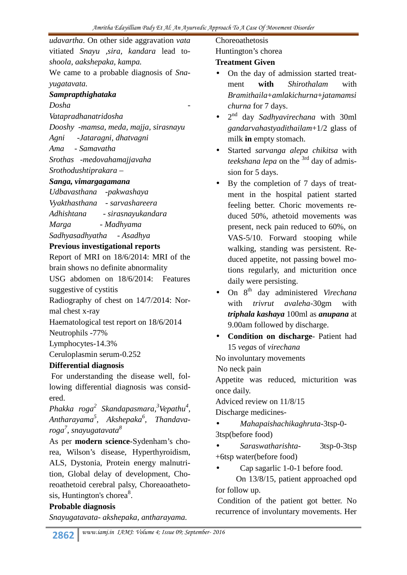*udavartha*. On other side aggravation *vata* vitiated *Snayu ,sira, kandara* lead to*shoola, aakshepaka, kampa.*

We came to a probable diagnosis of *Snayugatavata.*

## *Samprapthighataka*

*Dosha -*

*Vatapradhanatridosha*

*Dooshy -mamsa, meda, majja, sirasnayu*

- *Agni -Jataragni, dhatvagni*
- *Ama - Samavatha*

*Srothas -medovahamajjavaha*

*Srothodushtiprakara –*

#### *Sanga, vimargagamana*

*Udbavasthana -pakwashaya Vyakthasthana - sarvashareera Adhishtana - sirasnayukandara Marga - Madhyama Sadhyasadhyatha - Asadhya*

## **Previous investigational reports**

Report of MRI on 18/6/2014: MRI of the brain shows no definite abnormality

USG abdomen on 18/6/2014: Features suggestive of cystitis

Radiography of chest on 14/7/2014: Normal chest x-ray

Haematological test report on 18/6/2014 Neutrophils -77%

Lymphocytes-14.3%

Ceruloplasmin serum-0.252

## **Differential diagnosis**

For understanding the disease well, following differential diagnosis was considered.

*Phakka roga<sup>2</sup> Skandapasmara,<sup>3</sup>Vepathu<sup>4</sup> , Antharayama<sup>5</sup> , Akshepaka<sup>6</sup> , Thandavaroga 7* , *snayugatavata<sup>8</sup>*

As per **modern science**-Sydenham's chorea, Wilson's disease, Hyperthyroidism, ALS, Dystonia, Protein energy malnutrition, Global delay of development, Choreoathetoid cerebral palsy, Choreaoathetosis, Huntington's chorea<sup>8</sup>.

## **Probable diagnosis**

*Snayugatavata- akshepaka, antharayama.*

Choreoathetosis

Huntington's chorea

#### **Treatment Given**

- On the day of admission started treatment **with** *Shirothalam* with *Bramithaila*+*amlakichurna*+*jatamamsi churna* for 7 days.
- 2 nd day *Sadhyavirechana* with 30ml *gandarvahastyadithailam*+1/2 glass of milk **in** empty stomach.
- Started *sarvanga alepa chikitsa* with *teekshana lepa* on the 3rd day of admission for 5 days.
- By the completion of 7 days of treatment in the hospital patient started feeling better. Choric movements reduced 50%, athetoid movements was present, neck pain reduced to 60%, on VAS-5/10. Forward stooping while walking, standing was persistent. Reduced appetite, not passing bowel motions regularly, and micturition once daily were persisting.
- On 8th day administered *Virechana* with *trivrut avaleha*-30gm with *triphala kashaya* 100ml as *anupana* at 9.00am followed by discharge.
- **Condition on discharge** Patient had 15 *vega*s of *virechana*

No involuntary movements

No neck pain

Appetite was reduced, micturition was once daily.

Adviced review on 11/8/15

Discharge medicines-

 *Mahapaishachikaghruta*-3tsp-0- 3tsp(before food)

 *Saraswatharishta*- 3tsp-0-3tsp +6tsp water(before food)

Cap sagarlic 1-0-1 before food.

On 13/8/15, patient approached opd for follow up.

Condition of the patient got better. No recurrence of involuntary movements. Her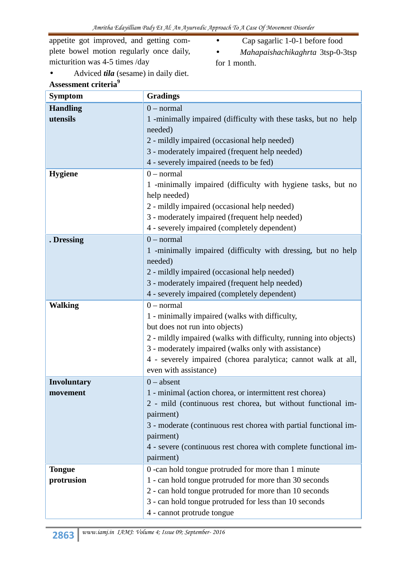appetite got improved, and getting complete bowel motion regularly once daily, micturition was 4-5 times /day

- Cap sagarlic 1-0-1 before food
- *Mahapaishachikaghrta* 3tsp-0-3tsp for 1 month.
- Adviced *tila* (sesame) in daily diet. **Assessment criteria<sup>9</sup>**

| <b>Symptom</b>     | <b>Gradings</b>                                                   |
|--------------------|-------------------------------------------------------------------|
| <b>Handling</b>    | $0$ – normal                                                      |
| utensils           | 1 -minimally impaired (difficulty with these tasks, but no help   |
|                    | needed)                                                           |
|                    | 2 - mildly impaired (occasional help needed)                      |
|                    | 3 - moderately impaired (frequent help needed)                    |
|                    | 4 - severely impaired (needs to be fed)                           |
| <b>Hygiene</b>     | $0$ – normal                                                      |
|                    | 1 -minimally impaired (difficulty with hygiene tasks, but no      |
|                    | help needed)                                                      |
|                    | 2 - mildly impaired (occasional help needed)                      |
|                    | 3 - moderately impaired (frequent help needed)                    |
|                    | 4 - severely impaired (completely dependent)                      |
| . Dressing         | $0$ – normal                                                      |
|                    | 1 -minimally impaired (difficulty with dressing, but no help      |
|                    | needed)                                                           |
|                    | 2 - mildly impaired (occasional help needed)                      |
|                    | 3 - moderately impaired (frequent help needed)                    |
|                    | 4 - severely impaired (completely dependent)                      |
| <b>Walking</b>     | $0$ – normal                                                      |
|                    | 1 - minimally impaired (walks with difficulty,                    |
|                    | but does not run into objects)                                    |
|                    | 2 - mildly impaired (walks with difficulty, running into objects) |
|                    | 3 - moderately impaired (walks only with assistance)              |
|                    | 4 - severely impaired (chorea paralytica; cannot walk at all,     |
|                    | even with assistance)                                             |
| <b>Involuntary</b> | $0 - absent$                                                      |
| movement           | 1 - minimal (action chorea, or intermittent rest chorea)          |
|                    | 2 - mild (continuous rest chorea, but without functional im-      |
|                    | pairment)                                                         |
|                    | 3 - moderate (continuous rest chorea with partial functional im-  |
|                    | pairment)                                                         |
|                    | 4 - severe (continuous rest chorea with complete functional im-   |
|                    | pairment)                                                         |
| <b>Tongue</b>      | 0 - can hold tongue protruded for more than 1 minute              |
| protrusion         | 1 - can hold tongue protruded for more than 30 seconds            |
|                    | 2 - can hold tongue protruded for more than 10 seconds            |
|                    | 3 - can hold tongue protruded for less than 10 seconds            |
|                    | 4 - cannot protrude tongue                                        |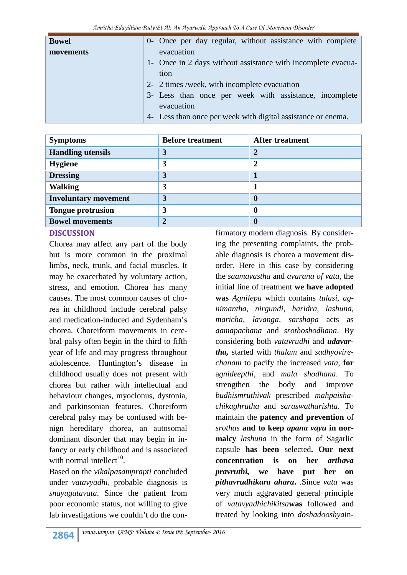| <b>Bowel</b> | 0- Once per day regular, without assistance with complete    |  |
|--------------|--------------------------------------------------------------|--|
| movements    | evacuation                                                   |  |
|              | 1- Once in 2 days without assistance with incomplete evacua- |  |
|              | tion                                                         |  |
|              | 2- 2 times /week, with incomplete evacuation                 |  |
|              | 3- Less than once per week with assistance, incomplete       |  |
|              | evacuation                                                   |  |
|              | 4- Less than once per week with digital assistance or enema. |  |

| <b>Symptoms</b>             | <b>Before treatment</b> | <b>After treatment</b> |
|-----------------------------|-------------------------|------------------------|
| <b>Handling utensils</b>    | 3                       | $\overline{2}$         |
| <b>Hygiene</b>              | 3                       | $\overline{2}$         |
| <b>Dressing</b>             | 3                       |                        |
| <b>Walking</b>              | 3                       |                        |
| <b>Involuntary movement</b> | 3                       |                        |
| <b>Tongue protrusion</b>    | 3                       | $\bf{0}$               |
| <b>Bowel movements</b>      |                         |                        |

## **DISCUSSION**

Chorea may affect any part of the body but is more common in the proximal limbs, neck, trunk, and facial muscles. It may be exacerbated by voluntary action, stress, and emotion. Chorea has many causes. The most common causes of chorea in childhood include cerebral palsy and medication-induced and Sydenham's chorea. Choreiform movements in cerebral palsy often begin in the third to fifth year of life and may progress throughout adolescence. Huntington's disease in childhood usually does not present with chorea but rather with intellectual and behaviour changes, myoclonus, dystonia, and parkinsonian features. Choreiform cerebral palsy may be confused with benign hereditary chorea, an autosomal dominant disorder that may begin in infancy or early childhood and is associated with normal intellect<sup>10</sup>. .

Based on the *vikalpasamprapti* concluded under *vatavyadhi,* probable diagnosis is *snayugatavata*. Since the patient from poor economic status, not willing to give lab investigations we couldn't do the con-

firmatory modern diagnosis. By considering the presenting complaints, the probable diagnosis is chorea a movement disorder. Here in this case by considering the *saamavastha* and *avarana of vata*, the initial line of treatment **we have adopted was** *Agnilepa* which contains *tulasi, agnimantha, nirgundi, haridra, lashuna, maricha, lavanga, sarshapa* acts as *aamapachana* and *srothoshodhana*. By considering both *vatavrudhi* and *udavartha,* started with *thalam* and *sadhyovirechanam* to pacify the increased *vata*, **for** a*gnideepthi,* and *mala shodhana*. To strengthen the body and improve *budhismruthivak* prescribed *mahpaishachikaghrutha* and *saraswatharishta*. To maintain the **patency and prevention** of *srothas* **and to keep** *apana vayu* **in normalcy** *lashuna* in the form of Sagarlic capsule **has been** selected**. Our next concentration is on her** *arthava* we have put her on *pithavrudhikara ahara***.** .Since *vata* was very much aggravated general principle of *vatavyadhichikitsa***was** followed and treated by looking into *doshadooshya*in